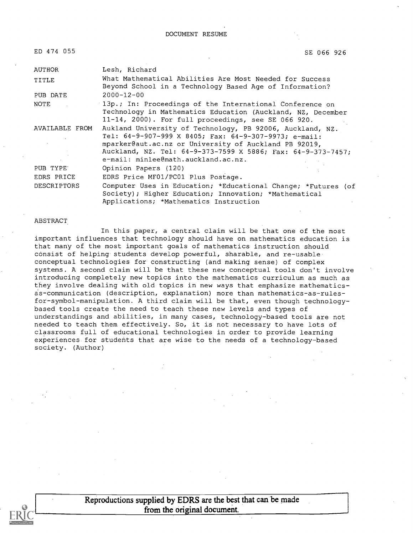| ED 474 055         | SE 066 926                                                                                                                                                                                                                                                                         |
|--------------------|------------------------------------------------------------------------------------------------------------------------------------------------------------------------------------------------------------------------------------------------------------------------------------|
| AUTHOR             | Lesh, Richard                                                                                                                                                                                                                                                                      |
| TITLE              | What Mathematical Abilities Are Most Needed for Success<br>Beyond School in a Technology Based Age of Information?                                                                                                                                                                 |
| PUB DATE           | $2000 - 12 - 00$                                                                                                                                                                                                                                                                   |
| NOTE               | 13p.; In: Proceedings of the International Conference on<br>Technology in Mathematics Education (Auckland, NZ, December<br>11-14, 2000). For full proceedings, see SE 066 920.                                                                                                     |
| AVAILABLE FROM     | Aukland University of Technology, PB 92006, Auckland, NZ.<br>Tel: 64-9-907-999 X 8405; Fax: 64-9-307-9973; e-mail:<br>mparker@aut.ac.nz or University of Auckland PB 92019,<br>Auckland, NZ. Tel: 64-9-373-7599 X 5886; Fax: 64-9-373-7457;<br>e-mail: minlee@math.auckland.ac.nz. |
| PUB TYPE           | Opinion Papers (120)                                                                                                                                                                                                                                                               |
| EDRS PRICE         | EDRS Price MF01/PC01 Plus Postage.                                                                                                                                                                                                                                                 |
| <b>DESCRIPTORS</b> | Computer Uses in Education; *Educational Change; *Futures (of<br>Society); Higher Education; Innovation; *Mathematical<br>Applications; *Mathematics Instruction                                                                                                                   |

#### ABSTRACT.

In this paper, a central claim will be that one of the most important influences that technology should have on mathematics education is that many of the most important goals of mathematics instruction should consist of helping students develop powerful, sharable, and re-usable conceptual technologies for constructing (and making sense) of complex systems. A second claim will be that these new conceptual tools don't involve introducing completely new topics into the mathematics curriculum as much as they involve dealing with old topics in new ways that emphasize mathematicsas-communication (description, explanation) more than mathematics-as-rulesfor-symbol-manipulation. A third claim will be that, even though technologybased tools create the need to teach these new levels and types of understandings and abilities, in many cases, technology-based tools are not needed to teach them effectively. So, it is not necessary to have lots of classrooms full of educational technologies in order to provide learning experiences for students that are wise to the needs of a technology-based society. (Author)



Reproductions supplied by EDRS are the best that can be made from the original document.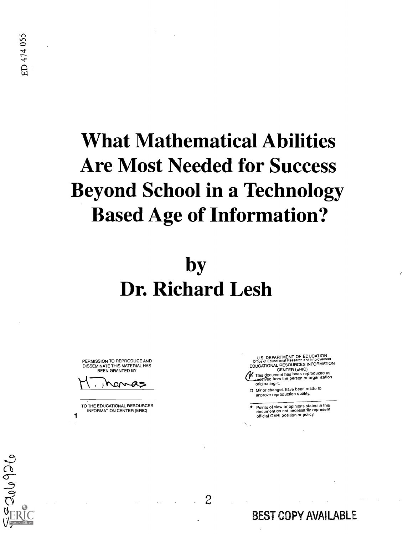# What Mathematical Abilities Are Most Needed for Success Beyond School in a Technology Based Age of Information?

# by Dr. Richard Lesh

 $\overline{2}$ 

PERMISSION TO REPRODUCE AND DISSEMINATE THIS MATERIAL HAS BEEN GRANTED BY

 $M.$  homas

TO THE EDUCATIONAL RESOURCES INFORMATION CENTER (ERIC)

1

U.S. DEPARTMENT OF EDUCATION<br>Office of Educational Research and Improvement<br>EDUCATIONAL RESOURCES INFORMATION

CENTER (ERIC) IWocument has been reproduced as ved from the person or organization originating it.

Minor changes have been made to improve reproduction quality.

Points of view or opinions stated in this document do not necessarily represent official OERI position or policy.

BEST COPY AVAILABLE

adone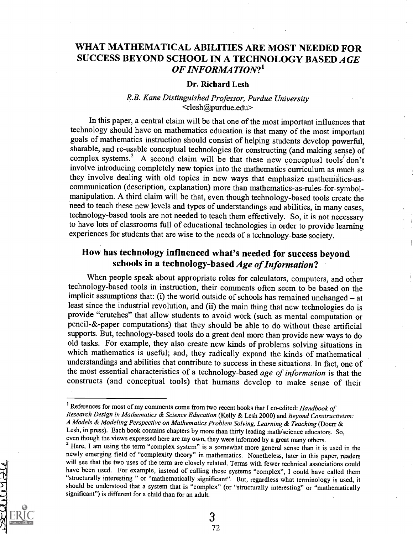### WHAT MATHEMATICAL ABILITIES ARE MOST NEEDED FOR SUCCESS BEYOND SCHOOL IN A TECHNOLOGY BASED AGE OF INFORMATION?<sup>1</sup>

#### Dr. Richard Lesh

#### R.B. Kane Distinguished Professor, Purdue University <rlesh@purdue.edu>

In this paper, a central claim will be that one of the most important influences that technology should have on mathematics education is that many of the most important goals of mathematics instruction should consist of helping students develop powerful, sharable, and re-usable conceptual technologies for constructing (and making sense) of complex systems.2 A second claim will be that these new conceptual tools' don't involve introducing completely new topics into the mathematics curriculum as much as they involve dealing with old topics in new ways that emphasize mathematics-ascommunication (description, explanation) more than mathematics-as-rules-for-symbolmanipulation. A third claim will be that, even though technology-based tools create the need to teach these new levels and types of understandings and abilities, in many cases, technology-based tools are not needed to teach them effectively. So, it is not necessary to have lots of classrooms full of educational technologies in order to provide learning experiences for students that are wise to the needs of a technology-base society.

## How has technology influenced what's needed for success beyond schools in a technology-based Age of Information?

When people speak about appropriate roles for calculators, computers, and other technology-based tools in instruction, their comments often seem to be based on the implicit assumptions that: (i) the world outside of schools has remained unchanged  $-$  at least since the industrial revolution, and (ii) the main thing that new technologies do is provide "crutches" that allow students to avoid work (such as mental computation or pencil-&-paper computations) that they should be able to do without these artificial supports. But, technology-based tools do a great deal more than provide new ways to do old tasks. For example, they also create new kinds of problems solving situations in which mathematics is useful; and, they radically expand the kinds of mathematical understandings and abilities that contribute to success in these situations. In fact, one of the most essential characteristics of a technology-based age of information is that the constructs (and conceptual tools) that humans develop to make sense of their

<sup>1</sup> References for most of my comments come from two recent books that I co-edited: Handbook of Research Design in Mathematics & Science Education (Kelly & Lesh 2000) and Beyond Constructivism: A Models & Modeling Perspective on Mathematics Problem Solving, Learning & Teaching (Doerr & Lesh, in press). Each book contains chapters by more than thirty leading math/science educators. So, even though the views expressed here are my own, they were informed by a great many others.

<sup>&</sup>lt;sup>2</sup> Here, I am using the term "complex system" is a somewhat more general sense than it is used in the newly emerging field of "complexity theory" in mathematics. Nonetheless, later in this paper, readers will see that the two uses of the term are closely related. Terms with fewer technical associations could have been used. For example, instead of calling these systems "complex", I could have called them "structurally interesting " or "mathematically significant". But, regardless what terminology is used, it should be understood that a system that is "complex" (or "structurally interesting" or "mathematically significant") is different for a child than for an adult.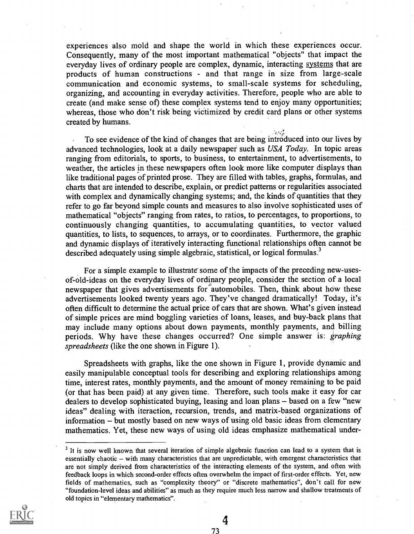experiences also mold and shape the world in which these experiences occur. Consequently, many of the most important mathematical "objects" that impact the everyday lives of ordinary people are complex, dynamic, interacting systems that are products of human constructions - and that range in size from large-scale communication and economic systems, to small-scale systems for scheduling, organizing, and accounting in everyday activities. Therefore, people who are able to create (and make sense of) these complex systems tend to enjoy many opportunities; whereas, those who don't risk being victimized by credit card plans or other systems created by humans.

, ...,  $\mathcal{L}$ To see evidence of the kind of changes that are being introduced into our lives by advanced technologies, look at a daily newspaper such as USA Today. In topic areas ranging from editorials, to sports, to business, to entertainment, to advertisements, to weather, the articles in these newspapers often look more like computer displays than like traditional pages of printed prose. They are filled with tables, graphs, formulas, and charts that are intended to describe, explain, or predict patterns or regularities associated with complex and dynamically changing systems; and, the kinds of quantities that they refer to go far beyond simple counts and measures to also involve sophisticated uses of mathematical "objects" ranging from rates, to ratios, to percentages, to proportions, to continuously changing quantities, to accumulating quantities, to vector valued quantities, to lists, to sequences, to arrays, or to coordinates. Furthermore, the graphic and dynamic displays of iteratively interacting functional relationships often cannot be described adequately using simple algebraic, statistical, or logical formulas.<sup>3</sup>

For a simple example to illustrate some of the impacts of the preceding new-usesof-old-ideas on the everyday lives of ordinary people, consider the section of a local newspaper that gives advertisements for automobiles. Then, think about how these advertisements looked twenty years ago. They've changed dramatically! Today, it's often difficult to determine the actual price of cars that are shown. What's given instead of simple prices are mind boggling varieties of loans, leases, and buy-back plans that may include many options about down payments, monthly payments, and billing periods. Why have these changes occurred? One simple answer is: graphing spreadsheets (like the one shown in Figure 1).

Spreadsheets with graphs, like the one shown in Figure 1, provide dynamic and easily manipulable conceptual tools for describing and exploring relationships among time, interest rates, monthly payments, and the amount of money remaining to be paid (or that has been paid) at any given time. Therefore, such tools make it easy for car dealers to develop sophisticated buying, leasing and loan plans – based on a few "new ideas" dealing with iteraction, recursion, trends, and matrix-based organizations of information – but mostly based on new ways of using old basic ideas from elementary mathematics. Yet, these new ways of using old ideas emphasize mathematical under-



<sup>&</sup>lt;sup>3</sup> It is now well known that several iteration of simple algebraic function can lead to a system that is essentially chaotic  $-$  with many characteristics that are unpredictable, with emergent characteristics that are not simply derived from characteristics of the interacting elements of the system, and often with feedback loops in which second-order effects often overwhelm the impact of first-order effects. Yet, new fields of mathematics, such as "complexity theory" or "discrete mathematics", don't call for new "foundation-level ideas and abilities" as much as they require much less narrow and shallow treatments of old topics in "elementary mathematics".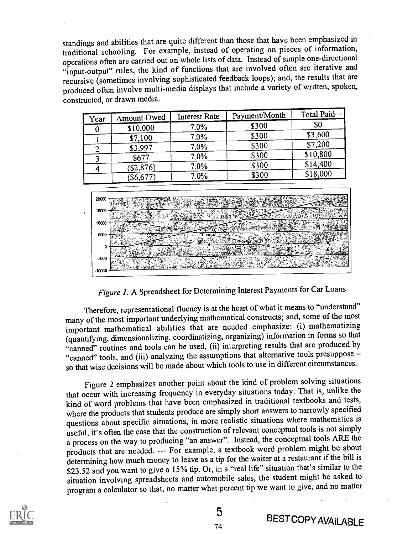standings and abilities that are quite different than those that have been emphasized in traditional schooling. For example, instead of operating on pieces of information, operations often are carried out on whole lists of data. Instead of simple one-directional "input-output" rules, the kind of functions that are involved often are iterative and recursive (sometimes involving sophisticated feedback loops); and, the results that are produced often involve multi-media displays that include a variety of written, spoken, constructed, or drawn media.

| Year | Amount Owed | <b>Interest Rate</b> | Payment/Month | Total Paid |
|------|-------------|----------------------|---------------|------------|
|      | \$10,000    | 7.0%                 | \$300         | S0         |
|      | \$7,100     | 7.0%                 | \$300         | \$3,600    |
|      | \$3,997     | 7.0%                 | \$300         | \$7,200    |
|      | \$677       | 7.0%                 | \$300         | \$10,800   |
|      | \$2,876     | 7.0%                 | \$300         | \$14,400   |
|      | $(\$6,677]$ | 7.0%                 | \$300         | \$18,000   |
|      |             |                      |               |            |

20000 . 1989. 1989. 1989. 1989. 1989. 1989. 1989. 1989. 1989. 1989. 1989. 1989. 1989. 1989. 1989. 1989. 1989. 1989.<br>1989. 1989. 1989. 1989. 1989. 1989. 1989. 1989. 1989. 1989. 1989. 1989. 1989. 1989. 1989. 1989. 1989. 1989. 19  $\sim$ 15000 10000 i. <sup>5000</sup> ,- ki <sup>i</sup>  $\Omega$ -5000 i. -10000

Figure 1. A Spreadsheet for Determining Interest Payments for Car Loans

Therefore, representational fluency is at the heart of what it means to "understand" many of the most important underlying mathematical constructs; and, some of the most important mathematical abilities that are needed emphasize: (i) mathematizing (quantifying, dimensionalizing, coordinatizing, organizing) information in forms so that "canned" routines and tools can be used, (ii) interpreting results that are produced by "canned" tools, and (iii) analyzing the assumptions that alternative tools presuppose so that wise decisions will be made about which tools to use in different circumstances.

Figure 2 emphasizes another point about the kind of problem solving situations that occur with increasing frequency in everyday situations today. That is, unlike the kind of word problems that have been emphasized in traditional textbooks and tests, where the products that students produce are simply short answers to narrowly specified questions about specific situations, in more realistic situations where mathematics is useful, it's often the case that the construction of relevant conceptual tools is not simply a process on the way to producing "an answer". Instead, the conceptual tools ARE the products that are needed. --- For example, a textbook word problem might be about determining how much money to leave as a tip for the waiter at a restaurant if the bill is \$23.52 and you want to give a 15% tip. Or, in a "real life" situation that's similar to the situation involving spreadsheets and automobile sales, the student might be asked to program a calculator so that, no matter what percent tip we want to give, and no matter

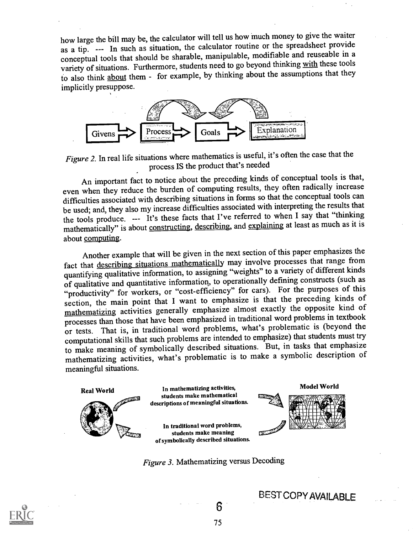how large the bill may be, the calculator will tell us how much money to give the waiter as a tip. --- In such as situation, the calculator routine or the spreadsheet provide conceptual tools that should be sharable, manipulable, modifiable and reuseable in a variety of situations. Furthermore, students need to go beyond thinking with these tools to also think about them - for example, by thinking about the assumptions that they implicitly presuppose.



Figure 2. In real life situations where mathematics is useful, it's often the case that the process IS the product that's needed

An important fact to notice about the preceding kinds of conceptual tools is that, even when they reduce the burden of computing results, they often radically increase difficulties associated with describing situations in forms so that the conceptual tools can be used; and, they also my increase difficulties associated with interpreting the results that the tools produce. --- It's these facts that I've referred to when I say that "thinking mathematically" is about constructing, describing, and explaining at least as much as it is about computing.

Another example that will be given in the next section of this paper emphasizes the fact that describing situations mathematically may involve processes that range from quantifying qualitative information, to assigning "weights" to a variety of different kinds of qualitative and quantitative information, to operationally defining constructs (such as "productivity" for workers, or "cost-efficiency" for cars). For the purposes of this section, the main point that I want to emphasize is that the preceding kinds of mathematizing activities generally emphasize almost exactly the opposite kind of processes than those that have been emphasized in traditional word problems in textbook or tests. That is, in traditional word problems, what's problematic is (beyond the computational skills that such problems are intended to emphasize) that students must try to make meaning of symbolically described situations. But, in tasks that emphasize mathematizing activities, what's problematic is to make a symbolic description of meaningful situations.





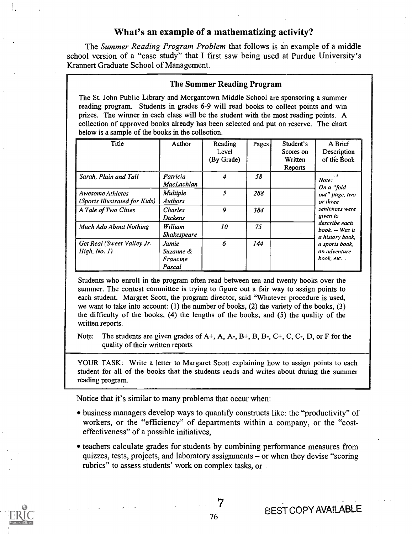#### What's an example of a mathematizing activity?

The Summer Reading Program Problem that follows is an example of a middle school version of a "case study" that I first saw being used at Purdue University's Krannert Graduate School of Management.

#### The Summer Reading Program

The St. John Public Library and Morgantown Middle School are sponsoring a summer reading program. Students in grades 6-9 will read books to collect points and win prizes. The winner in each class will be the student with the most reading points. A collection ,of approved books already has been selected and put on reserve. The chart below is a sample of the books in the collection.

| Title                                                    | Author                                   | Reading<br>Level<br>(By Grade) | Pages | Student's<br>Scores on<br>Written<br>Reports | A Brief<br>Description<br>of the Book              |
|----------------------------------------------------------|------------------------------------------|--------------------------------|-------|----------------------------------------------|----------------------------------------------------|
| Sarah, Plain and Tall                                    | Patricia<br>MacLachlan                   | 4                              | 58    |                                              | Note:<br>On a "fold                                |
| <b>Awesome Athletes</b><br>(Sports Illustrated for Kids) | Multiple<br><b>Authors</b>               | 5                              | 288   |                                              | out" page, two<br>or three                         |
| A Tale of Two Cities                                     | <b>Charles</b><br><b>Dickens</b>         | 9                              | 384   |                                              | sentences were<br>given to                         |
| Much Ado About Nothing                                   | William<br><b>Shakespeare</b>            | 10                             | 75    |                                              | describe each<br>book. -- Was it<br>a history book |
| Get Real (Sweet Valley Jr.<br>High, No. 1)               | Jamie<br>Suzanne &<br>Francine<br>Pascal | 6                              | 144   |                                              | a sports book,<br>an adventure<br>book, etc.       |

Students who enroll in the program often read between ten and twenty books over the summer. The contest committee is trying to figure out a fair way to assign points to each student. Margret Scott, the program director, said "Whatever procedure is used, we want to take into account:  $(1)$  the number of books,  $(2)$  the variety of the books,  $(3)$ the difficulty of the books, (4) the lengths of the books, and (5) the quality of the written reports.

Note: The students are given grades of  $A^+, A, A^-, B^+, B, B^-, C^+, C, C, D$ , or F for the quality of their written reports

YOUR TASK: Write a letter to Margaret Scott explaining how to assign points to each student for all of the books that the students reads and writes about during the summer reading program.

Notice that it's similar to many problems that occur when:

- business managers develop ways to quantify constructs like: the "productivity" of workers, or the "efficiency" of departments within a company, or the "costeffectiveness" of a possible initiatives,
- teachers calculate grades for students by combining performance measures from quizzes, tests, projects, and laboratory assignments  $-$  or when they devise "scoring rubrics" to assess students' work on complex tasks, or



I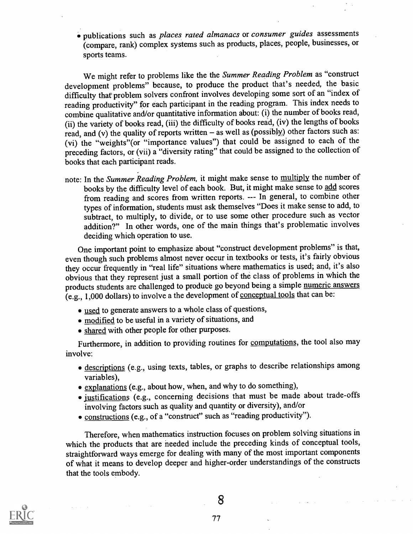· publications such as *places rated almanacs* or *consumer* guides assessments (compare, rank) complex systems such as products, places, people, businesses, or sports teams.

We might refer to problems like the the Summer Reading Problem as "construct development problems" because, to produce the product that's needed, the basic difficulty that problem solvers confront involves developing some sort of an "index of reading productivity" for each participant in the reading program. This index needs to combine qualitative and/or quantitative information about: (i) the number of books read, (ii) the variety of books read, (iii) the difficulty of books read, (iv) the lengths of books read, and (v) the quality of reports written  $-$  as well as (possibly) other factors such as: (vi) the "weights"(or "importance values") that could be assigned to each of the preceding factors, or (vii) a "diversity rating" that could be assigned to the collection of books that each participant reads.

note: In the Summer Reading Problem, it might make sense to multiply the number of books by the difficulty level of each book. But, it might make sense to add scores from reading and scores from written reports. --- In general, to combine other types of information, students must ask themselves "Does it make sense to add, to subtract, to multiply, to divide, or to use some other procedure such as vector addition?" In other words, one of the main things that's problematic involves deciding which operation to use.

One important point to emphasize about "construct development problems" is that, even though such problems almost never occur in textbooks or tests, it's fairly obvious they occur frequently in "real life" situations where mathematics is used; and, it's also obvious that they represent just a small portion of the class of problems in which the products students are challenged to produce go beyond being a simple numeric answers (e.g., 1,000 dollars) to involve a the development of conceptual tools that can be:

- used to generate answers to a whole class of questions,
- modified to be useful in a variety of situations, and
- shared with other people for other purposes.

Furthermore, in addition to providing routines for computations, the tool also may involve:

- descriptions (e.g., using texts, tables, or graphs to describe relationships among variables),
- explanations (e.g., about how, when, and why to do something),
- $\bullet$  justifications (e.g., concerning decisions that must be made about trade-offs involving factors such as quality and quantity or diversity), and/or
- constructions (e.g., of a "construct" such as "reading productivity").

Therefore, when mathematics instruction focuses on problem solving situations in which the products that are needed include the preceding kinds of conceptual tools, straightforward ways emerge for dealing with many of the most important components of what it means to develop deeper and higher-order understandings of the constructs that the tools embody.



77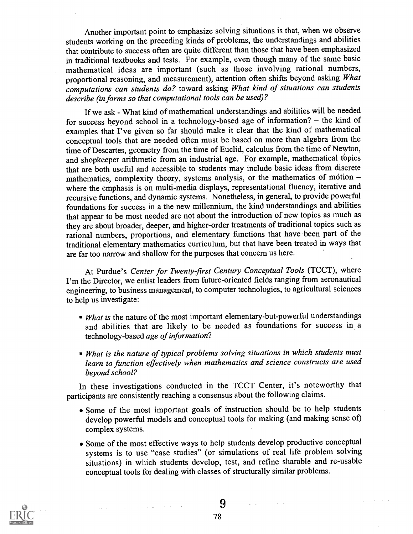Another important point to emphasize solving situations is that, when we observe students working on the preceding kinds of problems, the understandings and abilities that contribute to success often are quite different than those that have been emphasized in traditional textbooks and tests. For example, even though many of the same basic mathematical ideas are important (such as those involving rational numbers, proportional reasoning, and measurement), attention often shifts beyond asking What computations can students do? toward asking What kind of situations can students describe (in forms so that computational tools can be used)?

If we ask - What kind of mathematical understandings and abilities will be needed for success beyond school in a technology-based age of information?  $-$  the kind of examples that I've given so far should make it clear that the kind of mathematical conceptual tools that are needed often must be based on more than algebra from the time of Descartes, geometry from the time of Euclid, calculus from the time of Newton, and shopkeeper arithmetic from an industrial age. For example, mathematical topics that are both useful and accessible to students may include basic ideas from discrete mathematics, complexity theory, systems analysis, or the mathematics of motion  $$ where the emphasis is on multi-media displays, representational fluency, iterative and recursive functions, and dynamic systems. Nonetheless, in general, to provide powerful foundations for success in a the new millennium, the kind understandings and abilities that appear to be most needed are not about the introduction of new topics as much as they are about broader, deeper, and higher-order treatments of traditional topics such as rational numbers, proportions, and elementary functions that have been part of the traditional elementary mathematics curriculum, but that have been treated in ways that are far too narrow and shallow for the purposes that concern us here.

At Purdue's Center for Twenty-first Century Conceptual Tools (TCCT), where I'm the Director, we enlist leaders from future-oriented fields ranging from aeronautical engineering, to business management, to computer technologies, to agricultural sciences to help us investigate:

- What is the nature of the most important elementary-but-powerful understandings and abilities that are likely to be needed as foundations for success in a technology-based age of information?
- What is the nature of typical problems solving situations in which students must learn to function effectively when mathematics and science constructs are used beyond school?

In these investigations conducted in the TCCT Center, it's noteworthy that participants are consistently reaching a consensus about the following claims.

- Some of the most important goals of instruction should be to help students develop powerful models and conceptual tools for making (and making sense of) complex systems.
- Some of the most effective ways to help students develop productive conceptual systems is to use "case studies" (or simulations of real life problem solving situations) in which students develop, test, and refine sharable and re-usable conceptual tools for dealing with classes of structurally similar problems.

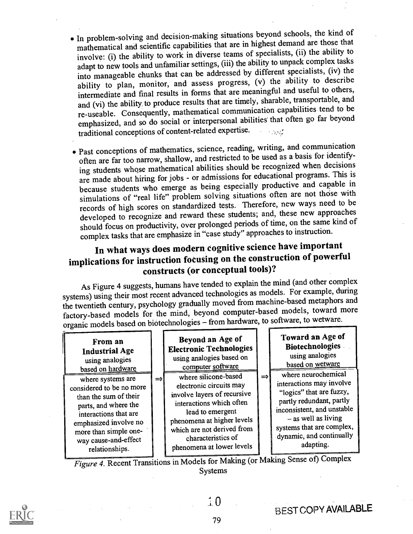- $\bullet$  In problem-solving and decision-making situations beyond schools, the kind of mathematical and scientific capabilities that are in highest demand are those that involve: (i) the ability to work in diverse teams of specialists, (ii) the ability to adapt to new tools and unfamiliar settings, (iii) the ability to unpack complex tasks into manageable chunks that can be addressed by different specialists, (iv) the ability to plan, monitor, and assess progress, (v) the ability to describe intermediate and final results in forms that are meaningful and useful to others, and (vi) the ability to produce results that are timely, sharable, transportable, and re-useable. Consequently, mathematical communication capabilities tend to be emphasized, and so do social or interpersonal abilities' that often go far beyond traditional conceptions of content-related expertise.
- Past conceptions of mathematics, science, reading, writing, and communication often are far too narrow, shallow, and restricted to be used as a basis for identifying students whose mathematical abilities should be recognized when decisions are made about hiring for jobs - or admissions for educational programs. This is because students who emerge as being especially productive and capable in simulations of "real life" problem solving situations often are not those with records of high scores on standardized tests. Therefore, new ways need to be developed to recognize and reward these students; and, these new approaches should focus on productivity, over prolonged periods of time, on the same kind of complex tasks that are emphasize in "case study" approaches to instruction.

## In what ways does modern cognitive science have important implications for instruction focusing on the construction of powerful constructs (or conceptual tools)?

As Figure 4 suggests, humans have tended to explain the mind (and other complex systems) using their most recent advanced technologies as models. For example, during the twentieth century, psychology gradually moved from machine-based metaphors and factory-based models for the mind, beyond computer-based models, toward more organic models based on biotechnologies - from hardware, to software, to wetware.

| From an<br><b>Industrial Age</b><br>using analogies<br>based on hardware                                                                                                                                            |               | Beyond an Age of<br><b>Electronic Technologies</b><br>using analogies based on<br>computer software                                                                                                                                           |               | Toward an Age of<br><b>Biotechnologies</b><br>using analogies<br>based on wetware                                                                                                                                                    |
|---------------------------------------------------------------------------------------------------------------------------------------------------------------------------------------------------------------------|---------------|-----------------------------------------------------------------------------------------------------------------------------------------------------------------------------------------------------------------------------------------------|---------------|--------------------------------------------------------------------------------------------------------------------------------------------------------------------------------------------------------------------------------------|
| where systems are<br>considered to be no more<br>than the sum of their<br>parts, and where the<br>interactions that are<br>emphasized involve no<br>more than simple one-<br>way cause-and-effect<br>relationships. | $\Rightarrow$ | where silicone-based<br>electronic circuits may<br>involve layers of recursive<br>interactions which often<br>lead to emergent<br>phenomena at higher levels<br>which are not derived from<br>characteristics of<br>phenomena at lower levels | $\Rightarrow$ | where neurochemical<br>interactions may involve<br>"logics" that are fuzzy,<br>partly redundant, partly<br>inconsistent, and unstable<br>$-$ as well as living<br>systems that are complex,<br>dynamic, and continually<br>adapting. |

Figure 4. Recent Transitions in Models for Making (or Making Sense of) Complex Systems



BEST COPYAVAILABLE

 $0$  and  $0$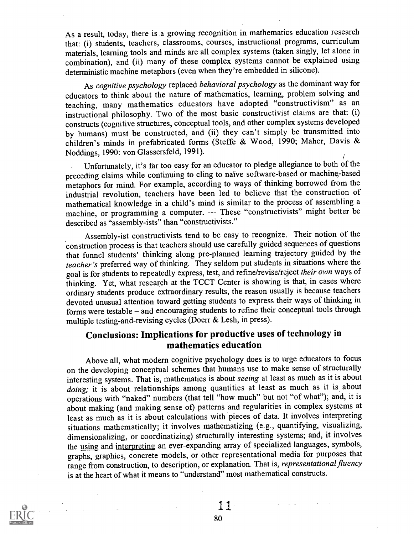As a result, today, there is a growing recognition in mathematics education research that: (i) students, teachers, classrooms, courses, instructional programs, curriculum materials, learning tools and minds are all complex systems (taken singly, let alone in combination), and (ii) many of these complex systems cannot be explained using deterministic machine metaphors (even when they're embedded in silicone).

As cognitive psychology replaced behavioral psychology as the dominant way for educators to think about the nature of mathematics, learning, problem solving and teaching, many mathematics educators have adopted "constructivism" as an instructional philosophy. Two of the most basic constructivist claims are that: (i) constructs (cognitive structures, conceptual tools, and other complex systems developed by humans) must be constructed, and (ii) they can't simply be transmitted into children's minds in prefabricated forms (Steffe & Wood, 1990; Maher, Davis & Noddings, 1990: von Glassersfeld, 1991).

Unfortunately, it's far too easy for an educator to pledge allegiance to both of the preceding claims while continuing to cling to naïve software-based or machine-based metaphors for mind. For example, according to ways of thinking borrowed from the industrial revolution, teachers have been led to believe that the construction of mathematical knowledge in a child's mind is similar to the process of assembling a machine, or programming a computer. --- These "constructivists" might better be described as "assembly-ists" than "constructivists."

Assembly-ist constructivists tend to be easy to recognize. Their notion of the construction process is that teachers should use carefully guided sequences of questions that funnel students' thinking along pre-planned learning trajectory guided by the teacher's preferred way of thinking. They seldom put students in situations where the goal is for students to repeatedly express, test, and refine/revise/reject their own ways of thinking. Yet, what research at the TCCT Center is showing is that, in cases where ordinary students produce extraordinary results, the reason usually is because teachers devoted unusual attention toward getting students to express their ways of thinking in forms were testable – and encouraging students to refine their conceptual tools through multiple testing-and-revising cycles (Doerr & Lesh, in press).

## Conclusions: Implications for productive uses of technology in mathematics education

Above all, what modern cognitive psychology does is to urge educators to focus on the developing conceptual schemes that humans use to make sense of structurally interesting systems. That is, mathematics is about seeing at least as much as it is about doing; it is about relationships among quantities at least as much as it is about operations with "naked" numbers (that tell "how much" but not "of what"); and, it is about making (and making sense of) patterns and regularities in complex systems at least as much as it is about calculations with pieces of data. It involves interpreting situations mathematically; it involves mathematizing (e.g., quantifying, visualizing, dimensionalizing, or coordinatizing) structurally interesting systems; and, it involves the using and interpreting an ever-expanding array of specialized languages, symbols, graphs, graphics, concrete models, or other representational media for purposes that range from construction, to description, or explanation. That is, representational fluency is at the heart of what it means to "understand" most mathematical constructs.

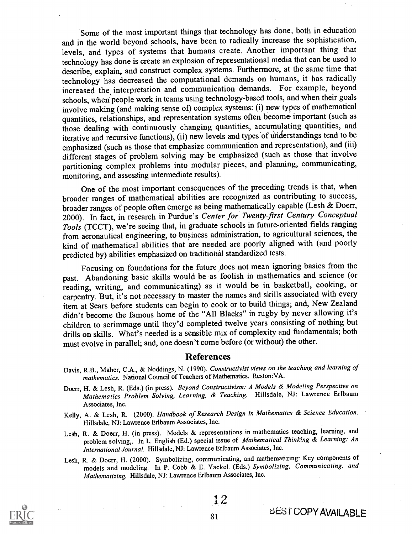Some of the most important things that technology has done, both in education and in the world beyond schools, have been to radically increase the sophistication, levels, and types of systems that humans create. Another important thing that technology has done is create an explosion of representational media that can be used to describe, explain, and construct complex systems. Furthermore, at the same time that technology has decreased the computational demands on humans, it has radically increased the interpretation and communication demands. For example, beyond schools, wheri people work in teams using technology-based tools, and when their goals involve making (and making sense of) complex systems: (i) new types of mathematical quantities, relationships, and representation systems often become important (such as those dealing with continuously changing quantities, accumulating quantities, and iterative and recursive functions), (ii) new levels and types of understandings tend to be emphasized (such as those that emphasize communication and representation), and (iii) different stages of problem solving may be emphasized (such as those that involve partitioning complex problems into modular pieces, and planning, communicating, monitoring, and assessing intermediate results).

One of the most important consequences of the preceding trends is that, when broader ranges of mathematical abilities are recognized as contributing to success, broader ranges of people often emerge as being mathematically capable (Lesh & Doerr, 2000). In fact, in research in Purdue's Center for Twenty-first Century Conceptual Tools (TCCT), we're seeing that, in graduate schools in future-oriented fields ranging from aeronautical engineering, to business administration, to agricultural sciences, the kind of mathematical abilities that are needed are poorly aligned with (and poorly predicted by) abilities emphasized on traditional standardized tests.

Focusing on foundations for the future does not mean ignoring basics from the past. Abandoning basic skills would be as foolish in mathematics and science (or reading, writing, and communicating) as it would be in basketball, cooking, or carpentry. But, it's not necessary to master the names and skills associated with every item at Sears before students can begin to cook or to build things; and, New Zealand didn't become the famous home of the "All Blacks" in rugby by never allowing it's children to scrimmage until they'd completed twelve years consisting of nothing but drills on skills. What's needed is a sensible mix of complexity and fundamentals; both must evolve in parallel; and, one doesn't come before (or without) the other.

#### References

- Davis, R.B., Maher, C.A., & Noddings, N. (1990). Constructivist views on the teaching and learning of mathematics. National Council of Teachers of Mathematics. Reston:VA.
- Doerr, H. & Lesh, R. (Eds.) (in press). Beyond Constructivism: A Models & Modeling Perspective on Mathematics Problem Solving, Learning, & Teaching. Hillsdale, NJ: Lawrence Erlbaum Associates, Inc.
- Kelly, A. & Lesh, R. (2000). Handbook of Research Design in Mathematics & Science Education. Hillsdale, NJ: Lawrence Erlbaum Associates, Inc.
- Lesh, R. & Doerr, H. (in press). Models & representations in mathematics teaching, learning, and problem solving,. In L. English (Ed.) special issue of Mathematical Thinking & Learning: An International Journal. Hillsdale, NJ: Lawrence Erlbaum Associates, Inc.
- Lesh, R. & Doerr, H. (2000). Symbolizing, communicating, and mathematizing: Key components of models and modeling. In P. Cobb & E. Yackel. (Eds.) Symbolizing, Communicating, and Mathematizing. Hillsdale, NJ: Lawrence Erlbaum Associates, Inc.



81 **6EST COPY AVAILABLE**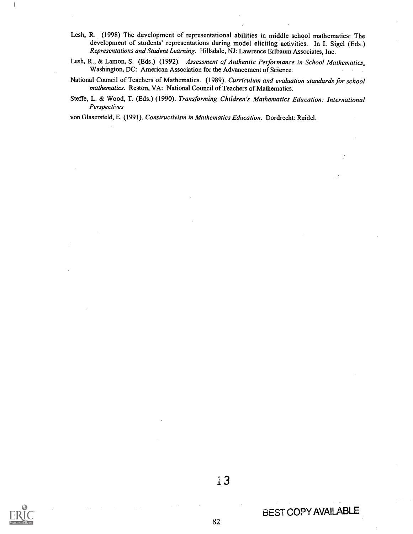- Lesh, R. (1998) The development of representational abilities in middle school mathematics: The development of students' representations during model eliciting activities. In I. Sigel (Eds.) Representations and Student Learning. Hillsdale, NJ: Lawrence Erlbaum Associates, Inc.
- Lesh, R., & Lamon, S. (Eds.) (1992). Assessment of Authentic Performance in School Mathematics, Washington, DC: American Association for the Advancement of Science.
- National Council of Teachers of Mathematics. (1989). Curriculum and evaluation standards for school mathematics. Reston, VA: National Council of Teachers of Mathematics.
- Steffe, L. & Wood, T. (Eds.) (1990). Transforming Children's Mathematics Education: International Perspectives

von Glasersfeld, E. (1991). Constructivism in Mathematics Education. Dordrecht: Reidel.



 $\mathbf{I}$ 

## BEST COPY AVAILABLE